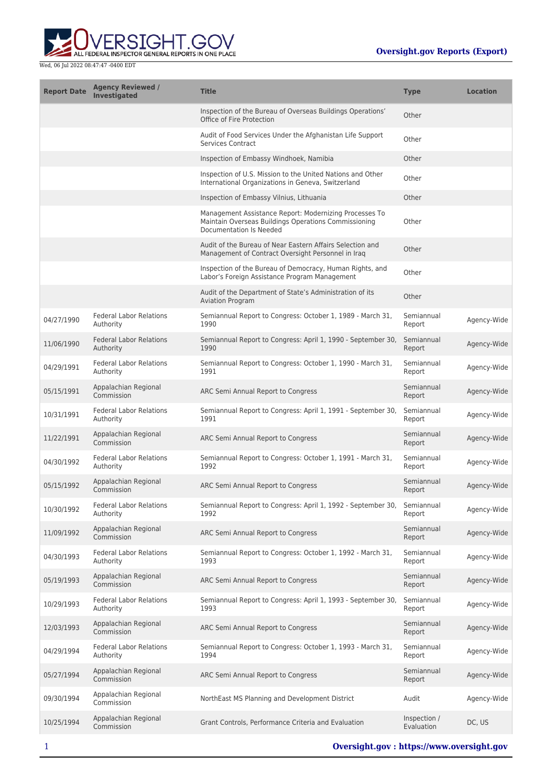

| <b>Report Date</b> | <b>Agency Reviewed /</b><br>Investigated    | <b>Title</b>                                                                                                                              | <b>Type</b>                | <b>Location</b> |
|--------------------|---------------------------------------------|-------------------------------------------------------------------------------------------------------------------------------------------|----------------------------|-----------------|
|                    |                                             | Inspection of the Bureau of Overseas Buildings Operations'<br>Office of Fire Protection                                                   | Other                      |                 |
|                    |                                             | Audit of Food Services Under the Afghanistan Life Support<br><b>Services Contract</b>                                                     | Other                      |                 |
|                    |                                             | Inspection of Embassy Windhoek, Namibia                                                                                                   | Other                      |                 |
|                    |                                             | Inspection of U.S. Mission to the United Nations and Other<br>International Organizations in Geneva, Switzerland                          | Other                      |                 |
|                    |                                             | Inspection of Embassy Vilnius, Lithuania                                                                                                  | Other                      |                 |
|                    |                                             | Management Assistance Report: Modernizing Processes To<br>Maintain Overseas Buildings Operations Commissioning<br>Documentation Is Needed | Other                      |                 |
|                    |                                             | Audit of the Bureau of Near Eastern Affairs Selection and<br>Management of Contract Oversight Personnel in Iraq                           | Other                      |                 |
|                    |                                             | Inspection of the Bureau of Democracy, Human Rights, and<br>Labor's Foreign Assistance Program Management                                 | Other                      |                 |
|                    |                                             | Audit of the Department of State's Administration of its<br><b>Aviation Program</b>                                                       | Other                      |                 |
| 04/27/1990         | <b>Federal Labor Relations</b><br>Authority | Semiannual Report to Congress: October 1, 1989 - March 31,<br>1990                                                                        | Semiannual<br>Report       | Agency-Wide     |
| 11/06/1990         | <b>Federal Labor Relations</b><br>Authority | Semiannual Report to Congress: April 1, 1990 - September 30,<br>1990                                                                      | Semiannual<br>Report       | Agency-Wide     |
| 04/29/1991         | <b>Federal Labor Relations</b><br>Authority | Semiannual Report to Congress: October 1, 1990 - March 31,<br>1991                                                                        | Semiannual<br>Report       | Agency-Wide     |
| 05/15/1991         | Appalachian Regional<br>Commission          | ARC Semi Annual Report to Congress                                                                                                        | Semiannual<br>Report       | Agency-Wide     |
| 10/31/1991         | <b>Federal Labor Relations</b><br>Authority | Semiannual Report to Congress: April 1, 1991 - September 30,<br>1991                                                                      | Semiannual<br>Report       | Agency-Wide     |
| 11/22/1991         | Appalachian Regional<br>Commission          | ARC Semi Annual Report to Congress                                                                                                        | Semiannual<br>Report       | Agency-Wide     |
| 04/30/1992         | <b>Federal Labor Relations</b><br>Authority | Semiannual Report to Congress: October 1, 1991 - March 31,<br>1992                                                                        | Semiannual<br>Report       | Agency-Wide     |
| 05/15/1992         | Appalachian Regional<br>Commission          | ARC Semi Annual Report to Congress                                                                                                        | Semiannual<br>Report       | Agency-Wide     |
| 10/30/1992         | <b>Federal Labor Relations</b><br>Authority | Semiannual Report to Congress: April 1, 1992 - September 30,<br>1992                                                                      | Semiannual<br>Report       | Agency-Wide     |
| 11/09/1992         | Appalachian Regional<br>Commission          | ARC Semi Annual Report to Congress                                                                                                        | Semiannual<br>Report       | Agency-Wide     |
| 04/30/1993         | <b>Federal Labor Relations</b><br>Authority | Semiannual Report to Congress: October 1, 1992 - March 31,<br>1993                                                                        | Semiannual<br>Report       | Agency-Wide     |
| 05/19/1993         | Appalachian Regional<br>Commission          | ARC Semi Annual Report to Congress                                                                                                        | Semiannual<br>Report       | Agency-Wide     |
| 10/29/1993         | <b>Federal Labor Relations</b><br>Authority | Semiannual Report to Congress: April 1, 1993 - September 30,<br>1993                                                                      | Semiannual<br>Report       | Agency-Wide     |
| 12/03/1993         | Appalachian Regional<br>Commission          | ARC Semi Annual Report to Congress                                                                                                        | Semiannual<br>Report       | Agency-Wide     |
| 04/29/1994         | <b>Federal Labor Relations</b><br>Authority | Semiannual Report to Congress: October 1, 1993 - March 31,<br>1994                                                                        | Semiannual<br>Report       | Agency-Wide     |
| 05/27/1994         | Appalachian Regional<br>Commission          | ARC Semi Annual Report to Congress                                                                                                        | Semiannual<br>Report       | Agency-Wide     |
| 09/30/1994         | Appalachian Regional<br>Commission          | NorthEast MS Planning and Development District                                                                                            | Audit                      | Agency-Wide     |
| 10/25/1994         | Appalachian Regional<br>Commission          | Grant Controls, Performance Criteria and Evaluation                                                                                       | Inspection /<br>Evaluation | DC, US          |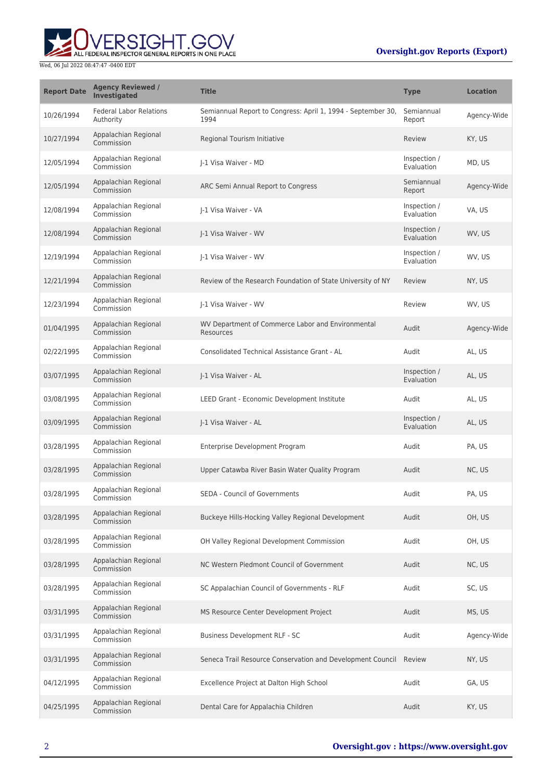### **Oversight.gov Reports (Export)**



| <b>Report Date</b> | <b>Agency Reviewed /</b><br>Investigated    | <b>Title</b>                                                         | <b>Type</b>                | <b>Location</b> |
|--------------------|---------------------------------------------|----------------------------------------------------------------------|----------------------------|-----------------|
| 10/26/1994         | <b>Federal Labor Relations</b><br>Authority | Semiannual Report to Congress: April 1, 1994 - September 30,<br>1994 | Semiannual<br>Report       | Agency-Wide     |
| 10/27/1994         | Appalachian Regional<br>Commission          | Regional Tourism Initiative                                          | Review                     | KY, US          |
| 12/05/1994         | Appalachian Regional<br>Commission          | I-1 Visa Waiver - MD                                                 | Inspection /<br>Evaluation | MD, US          |
| 12/05/1994         | Appalachian Regional<br>Commission          | ARC Semi Annual Report to Congress                                   | Semiannual<br>Report       | Agency-Wide     |
| 12/08/1994         | Appalachian Regional<br>Commission          | J-1 Visa Waiver - VA                                                 | Inspection /<br>Evaluation | VA, US          |
| 12/08/1994         | Appalachian Regional<br>Commission          | J-1 Visa Waiver - WV                                                 | Inspection /<br>Evaluation | WV, US          |
| 12/19/1994         | Appalachian Regional<br>Commission          | I-1 Visa Waiver - WV                                                 | Inspection /<br>Evaluation | WV, US          |
| 12/21/1994         | Appalachian Regional<br>Commission          | Review of the Research Foundation of State University of NY          | Review                     | NY, US          |
| 12/23/1994         | Appalachian Regional<br>Commission          | J-1 Visa Waiver - WV                                                 | Review                     | WV, US          |
| 01/04/1995         | Appalachian Regional<br>Commission          | WV Department of Commerce Labor and Environmental<br>Resources       | Audit                      | Agency-Wide     |
| 02/22/1995         | Appalachian Regional<br>Commission          | Consolidated Technical Assistance Grant - AL                         | Audit                      | AL, US          |
| 03/07/1995         | Appalachian Regional<br>Commission          | J-1 Visa Waiver - AL                                                 | Inspection /<br>Evaluation | AL, US          |
| 03/08/1995         | Appalachian Regional<br>Commission          | LEED Grant - Economic Development Institute                          | Audit                      | AL, US          |
| 03/09/1995         | Appalachian Regional<br>Commission          | J-1 Visa Waiver - AL                                                 | Inspection /<br>Evaluation | AL, US          |
| 03/28/1995         | Appalachian Regional<br>Commission          | Enterprise Development Program                                       | Audit                      | PA, US          |
| 03/28/1995         | Appalachian Regional<br>Commission          | Upper Catawba River Basin Water Quality Program                      | Audit                      | NC, US          |
| 03/28/1995         | Appalachian Regional<br>Commission          | <b>SEDA - Council of Governments</b>                                 | Audit                      | PA, US          |
| 03/28/1995         | Appalachian Regional<br>Commission          | Buckeye Hills-Hocking Valley Regional Development                    | Audit                      | OH, US          |
| 03/28/1995         | Appalachian Regional<br>Commission          | OH Valley Regional Development Commission                            | Audit                      | OH, US          |
| 03/28/1995         | Appalachian Regional<br>Commission          | NC Western Piedmont Council of Government                            | Audit                      | NC, US          |
| 03/28/1995         | Appalachian Regional<br>Commission          | SC Appalachian Council of Governments - RLF                          | Audit                      | SC, US          |
| 03/31/1995         | Appalachian Regional<br>Commission          | MS Resource Center Development Project                               | Audit                      | MS, US          |
| 03/31/1995         | Appalachian Regional<br>Commission          | Business Development RLF - SC                                        | Audit                      | Agency-Wide     |
| 03/31/1995         | Appalachian Regional<br>Commission          | Seneca Trail Resource Conservation and Development Council Review    |                            | NY, US          |
| 04/12/1995         | Appalachian Regional<br>Commission          | Excellence Project at Dalton High School                             | Audit                      | GA, US          |
| 04/25/1995         | Appalachian Regional<br>Commission          | Dental Care for Appalachia Children                                  | Audit                      | KY, US          |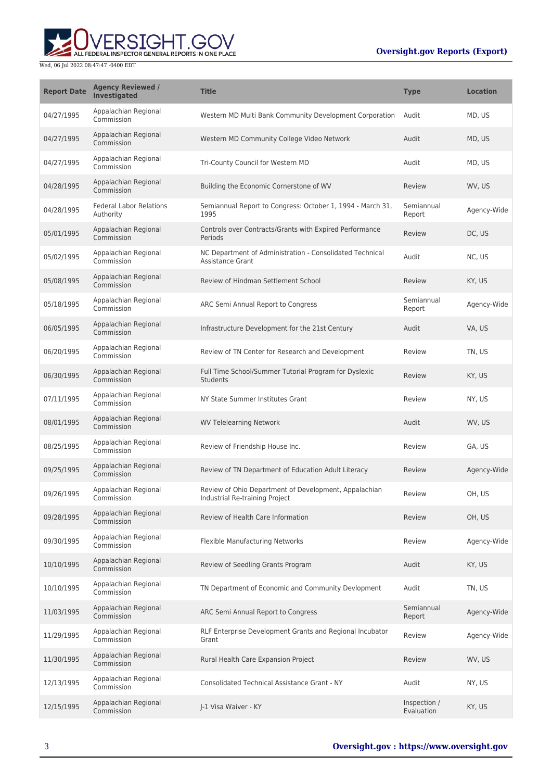### **Oversight.gov Reports (Export)**



| <b>Report Date</b> | <b>Agency Reviewed /</b><br>Investigated    | <b>Title</b>                                                                            | <b>Type</b>                | <b>Location</b> |
|--------------------|---------------------------------------------|-----------------------------------------------------------------------------------------|----------------------------|-----------------|
| 04/27/1995         | Appalachian Regional<br>Commission          | Western MD Multi Bank Community Development Corporation                                 | Audit                      | MD, US          |
| 04/27/1995         | Appalachian Regional<br>Commission          | Western MD Community College Video Network                                              | Audit                      | MD, US          |
| 04/27/1995         | Appalachian Regional<br>Commission          | Tri-County Council for Western MD                                                       | Audit                      | MD, US          |
| 04/28/1995         | Appalachian Regional<br>Commission          | Building the Economic Cornerstone of WV                                                 | Review                     | WV, US          |
| 04/28/1995         | <b>Federal Labor Relations</b><br>Authority | Semiannual Report to Congress: October 1, 1994 - March 31,<br>1995                      | Semiannual<br>Report       | Agency-Wide     |
| 05/01/1995         | Appalachian Regional<br>Commission          | Controls over Contracts/Grants with Expired Performance<br>Periods                      | Review                     | DC, US          |
| 05/02/1995         | Appalachian Regional<br>Commission          | NC Department of Administration - Consolidated Technical<br><b>Assistance Grant</b>     | Audit                      | NC, US          |
| 05/08/1995         | Appalachian Regional<br>Commission          | Review of Hindman Settlement School                                                     | Review                     | KY, US          |
| 05/18/1995         | Appalachian Regional<br>Commission          | ARC Semi Annual Report to Congress                                                      | Semiannual<br>Report       | Agency-Wide     |
| 06/05/1995         | Appalachian Regional<br>Commission          | Infrastructure Development for the 21st Century                                         | Audit                      | VA, US          |
| 06/20/1995         | Appalachian Regional<br>Commission          | Review of TN Center for Research and Development                                        | Review                     | TN, US          |
| 06/30/1995         | Appalachian Regional<br>Commission          | Full Time School/Summer Tutorial Program for Dyslexic<br><b>Students</b>                | Review                     | KY, US          |
| 07/11/1995         | Appalachian Regional<br>Commission          | NY State Summer Institutes Grant                                                        | Review                     | NY, US          |
| 08/01/1995         | Appalachian Regional<br>Commission          | <b>WV Telelearning Network</b>                                                          | Audit                      | WV, US          |
| 08/25/1995         | Appalachian Regional<br>Commission          | Review of Friendship House Inc.                                                         | Review                     | GA, US          |
| 09/25/1995         | Appalachian Regional<br>Commission          | Review of TN Department of Education Adult Literacy                                     | Review                     | Agency-Wide     |
| 09/26/1995         | Appalachian Regional<br>Commission          | Review of Ohio Department of Development, Appalachian<br>Industrial Re-training Project | Review                     | OH, US          |
| 09/28/1995         | Appalachian Regional<br>Commission          | Review of Health Care Information                                                       | Review                     | OH, US          |
| 09/30/1995         | Appalachian Regional<br>Commission          | Flexible Manufacturing Networks                                                         | Review                     | Agency-Wide     |
| 10/10/1995         | Appalachian Regional<br>Commission          | Review of Seedling Grants Program                                                       | Audit                      | KY, US          |
| 10/10/1995         | Appalachian Regional<br>Commission          | TN Department of Economic and Community Devlopment                                      | Audit                      | TN, US          |
| 11/03/1995         | Appalachian Regional<br>Commission          | ARC Semi Annual Report to Congress                                                      | Semiannual<br>Report       | Agency-Wide     |
| 11/29/1995         | Appalachian Regional<br>Commission          | RLF Enterprise Development Grants and Regional Incubator<br>Grant                       | Review                     | Agency-Wide     |
| 11/30/1995         | Appalachian Regional<br>Commission          | Rural Health Care Expansion Project                                                     | Review                     | WV, US          |
| 12/13/1995         | Appalachian Regional<br>Commission          | <b>Consolidated Technical Assistance Grant - NY</b>                                     | Audit                      | NY, US          |
| 12/15/1995         | Appalachian Regional<br>Commission          | J-1 Visa Waiver - KY                                                                    | Inspection /<br>Evaluation | KY, US          |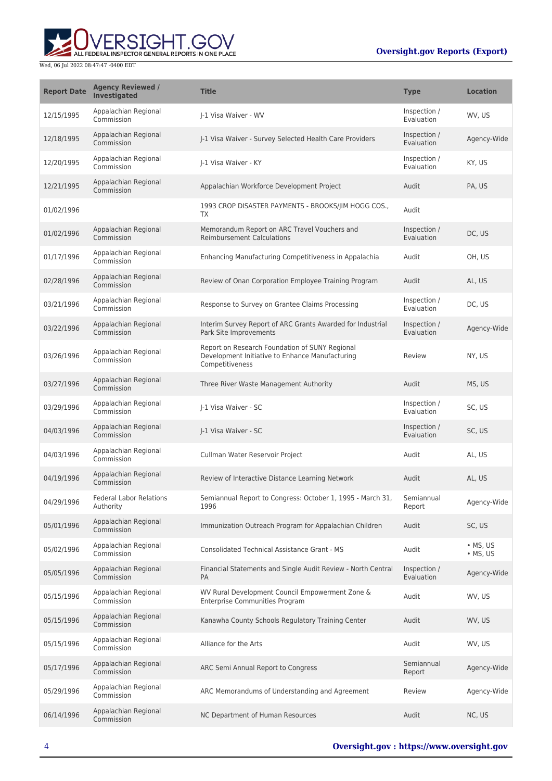# ERSIGHT.GOV ALL FEDERAL INSPECTOR GENERAL REPORTS IN ONE PLACE

### Wed, 06 Jul 2022 08:47:47 -0400 EDT

### **Oversight.gov Reports (Export)**

| <b>Report Date</b> | <b>Agency Reviewed /</b><br><b>Investigated</b> | <b>Title</b>                                                                                                         | <b>Type</b>                | <b>Location</b>                      |
|--------------------|-------------------------------------------------|----------------------------------------------------------------------------------------------------------------------|----------------------------|--------------------------------------|
| 12/15/1995         | Appalachian Regional<br>Commission              | I-1 Visa Waiver - WV                                                                                                 | Inspection /<br>Evaluation | WV, US                               |
| 12/18/1995         | Appalachian Regional<br>Commission              | I-1 Visa Waiver - Survey Selected Health Care Providers                                                              | Inspection /<br>Evaluation | Agency-Wide                          |
| 12/20/1995         | Appalachian Regional<br>Commission              | I-1 Visa Waiver - KY                                                                                                 | Inspection /<br>Evaluation | KY, US                               |
| 12/21/1995         | Appalachian Regional<br>Commission              | Appalachian Workforce Development Project                                                                            | Audit                      | PA, US                               |
| 01/02/1996         |                                                 | 1993 CROP DISASTER PAYMENTS - BROOKS/JIM HOGG COS.,<br>TX                                                            | Audit                      |                                      |
| 01/02/1996         | Appalachian Regional<br>Commission              | Memorandum Report on ARC Travel Vouchers and<br><b>Reimbursement Calculations</b>                                    | Inspection /<br>Evaluation | DC, US                               |
| 01/17/1996         | Appalachian Regional<br>Commission              | Enhancing Manufacturing Competitiveness in Appalachia                                                                | Audit                      | OH, US                               |
| 02/28/1996         | Appalachian Regional<br>Commission              | Review of Onan Corporation Employee Training Program                                                                 | Audit                      | AL, US                               |
| 03/21/1996         | Appalachian Regional<br>Commission              | Response to Survey on Grantee Claims Processing                                                                      | Inspection /<br>Evaluation | DC, US                               |
| 03/22/1996         | Appalachian Regional<br>Commission              | Interim Survey Report of ARC Grants Awarded for Industrial<br>Park Site Improvements                                 | Inspection /<br>Evaluation | Agency-Wide                          |
| 03/26/1996         | Appalachian Regional<br>Commission              | Report on Research Foundation of SUNY Regional<br>Development Initiative to Enhance Manufacturing<br>Competitiveness | Review                     | NY, US                               |
| 03/27/1996         | Appalachian Regional<br>Commission              | Three River Waste Management Authority                                                                               | Audit                      | MS, US                               |
| 03/29/1996         | Appalachian Regional<br>Commission              | J-1 Visa Waiver - SC                                                                                                 | Inspection /<br>Evaluation | SC, US                               |
| 04/03/1996         | Appalachian Regional<br>Commission              | J-1 Visa Waiver - SC                                                                                                 | Inspection /<br>Evaluation | SC, US                               |
| 04/03/1996         | Appalachian Regional<br>Commission              | Cullman Water Reservoir Project                                                                                      | Audit                      | AL, US                               |
| 04/19/1996         | Appalachian Regional<br>Commission              | Review of Interactive Distance Learning Network                                                                      | Audit                      | AL, US                               |
| 04/29/1996         | <b>Federal Labor Relations</b><br>Authority     | Semiannual Report to Congress: October 1, 1995 - March 31,<br>1996                                                   | Semiannual<br>Report       | Agency-Wide                          |
| 05/01/1996         | Appalachian Regional<br>Commission              | Immunization Outreach Program for Appalachian Children                                                               | Audit                      | SC, US                               |
| 05/02/1996         | Appalachian Regional<br>Commission              | <b>Consolidated Technical Assistance Grant - MS</b>                                                                  | Audit                      | $\bullet$ MS, US<br>$\bullet$ MS, US |
| 05/05/1996         | Appalachian Regional<br>Commission              | Financial Statements and Single Audit Review - North Central<br>PA                                                   | Inspection /<br>Evaluation | Agency-Wide                          |
| 05/15/1996         | Appalachian Regional<br>Commission              | WV Rural Development Council Empowerment Zone &<br><b>Enterprise Communities Program</b>                             | Audit                      | WV, US                               |
| 05/15/1996         | Appalachian Regional<br>Commission              | Kanawha County Schools Regulatory Training Center                                                                    | Audit                      | WV, US                               |
| 05/15/1996         | Appalachian Regional<br>Commission              | Alliance for the Arts                                                                                                | Audit                      | WV, US                               |
| 05/17/1996         | Appalachian Regional<br>Commission              | ARC Semi Annual Report to Congress                                                                                   | Semiannual<br>Report       | Agency-Wide                          |
| 05/29/1996         | Appalachian Regional<br>Commission              | ARC Memorandums of Understanding and Agreement                                                                       | Review                     | Agency-Wide                          |
| 06/14/1996         | Appalachian Regional<br>Commission              | NC Department of Human Resources                                                                                     | Audit                      | NC, US                               |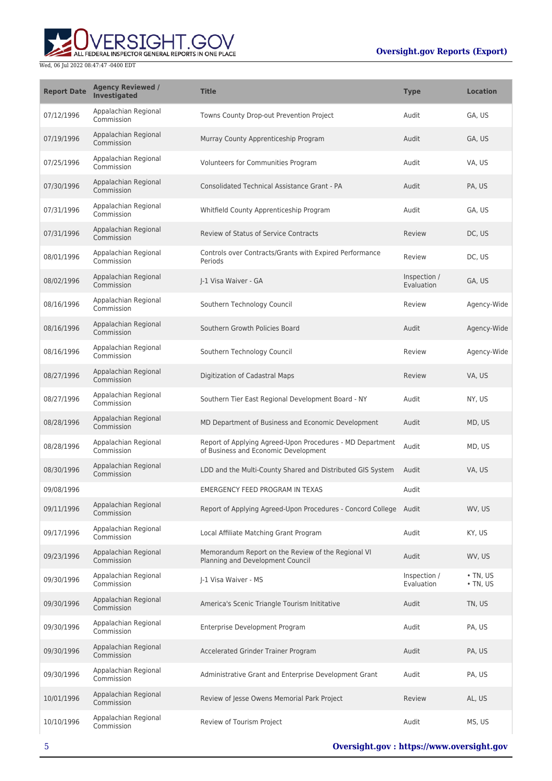

| <b>Report Date</b> | <b>Agency Reviewed /</b><br>Investigated | <b>Title</b>                                                                                      | <b>Type</b>                | <b>Location</b>                  |
|--------------------|------------------------------------------|---------------------------------------------------------------------------------------------------|----------------------------|----------------------------------|
| 07/12/1996         | Appalachian Regional<br>Commission       | Towns County Drop-out Prevention Project                                                          | Audit                      | GA, US                           |
| 07/19/1996         | Appalachian Regional<br>Commission       | Murray County Apprenticeship Program                                                              | Audit                      | GA, US                           |
| 07/25/1996         | Appalachian Regional<br>Commission       | Volunteers for Communities Program                                                                | Audit                      | VA, US                           |
| 07/30/1996         | Appalachian Regional<br>Commission       | Consolidated Technical Assistance Grant - PA                                                      | Audit                      | PA, US                           |
| 07/31/1996         | Appalachian Regional<br>Commission       | Whitfield County Apprenticeship Program                                                           | Audit                      | GA, US                           |
| 07/31/1996         | Appalachian Regional<br>Commission       | Review of Status of Service Contracts                                                             | Review                     | DC, US                           |
| 08/01/1996         | Appalachian Regional<br>Commission       | Controls over Contracts/Grants with Expired Performance<br>Periods                                | Review                     | DC, US                           |
| 08/02/1996         | Appalachian Regional<br>Commission       | I-1 Visa Waiver - GA                                                                              | Inspection /<br>Evaluation | GA, US                           |
| 08/16/1996         | Appalachian Regional<br>Commission       | Southern Technology Council                                                                       | Review                     | Agency-Wide                      |
| 08/16/1996         | Appalachian Regional<br>Commission       | Southern Growth Policies Board                                                                    | Audit                      | Agency-Wide                      |
| 08/16/1996         | Appalachian Regional<br>Commission       | Southern Technology Council                                                                       | Review                     | Agency-Wide                      |
| 08/27/1996         | Appalachian Regional<br>Commission       | Digitization of Cadastral Maps                                                                    | Review                     | VA, US                           |
| 08/27/1996         | Appalachian Regional<br>Commission       | Southern Tier East Regional Development Board - NY                                                | Audit                      | NY, US                           |
| 08/28/1996         | Appalachian Regional<br>Commission       | MD Department of Business and Economic Development                                                | Audit                      | MD, US                           |
| 08/28/1996         | Appalachian Regional<br>Commission       | Report of Applying Agreed-Upon Procedures - MD Department<br>of Business and Economic Development | Audit                      | MD, US                           |
| 08/30/1996         | Appalachian Regional<br>Commission       | LDD and the Multi-County Shared and Distributed GIS System                                        | Audit                      | VA, US                           |
| 09/08/1996         |                                          | <b>EMERGENCY FEED PROGRAM IN TEXAS</b>                                                            | Audit                      |                                  |
| 09/11/1996         | Appalachian Regional<br>Commission       | Report of Applying Agreed-Upon Procedures - Concord College Audit                                 |                            | WV, US                           |
| 09/17/1996         | Appalachian Regional<br>Commission       | Local Affiliate Matching Grant Program                                                            | Audit                      | KY, US                           |
| 09/23/1996         | Appalachian Regional<br>Commission       | Memorandum Report on the Review of the Regional VI<br>Planning and Development Council            | Audit                      | WV, US                           |
| 09/30/1996         | Appalachian Regional<br>Commission       | J-1 Visa Waiver - MS                                                                              | Inspection /<br>Evaluation | $\cdot$ TN, US<br>$\cdot$ TN, US |
| 09/30/1996         | Appalachian Regional<br>Commission       | America's Scenic Triangle Tourism Inititative                                                     | Audit                      | TN, US                           |
| 09/30/1996         | Appalachian Regional<br>Commission       | Enterprise Development Program                                                                    | Audit                      | PA, US                           |
| 09/30/1996         | Appalachian Regional<br>Commission       | Accelerated Grinder Trainer Program                                                               | Audit                      | PA, US                           |
| 09/30/1996         | Appalachian Regional<br>Commission       | Administrative Grant and Enterprise Development Grant                                             | Audit                      | PA, US                           |
| 10/01/1996         | Appalachian Regional<br>Commission       | Review of Jesse Owens Memorial Park Project                                                       | Review                     | AL, US                           |
| 10/10/1996         | Appalachian Regional<br>Commission       | Review of Tourism Project                                                                         | Audit                      | MS, US                           |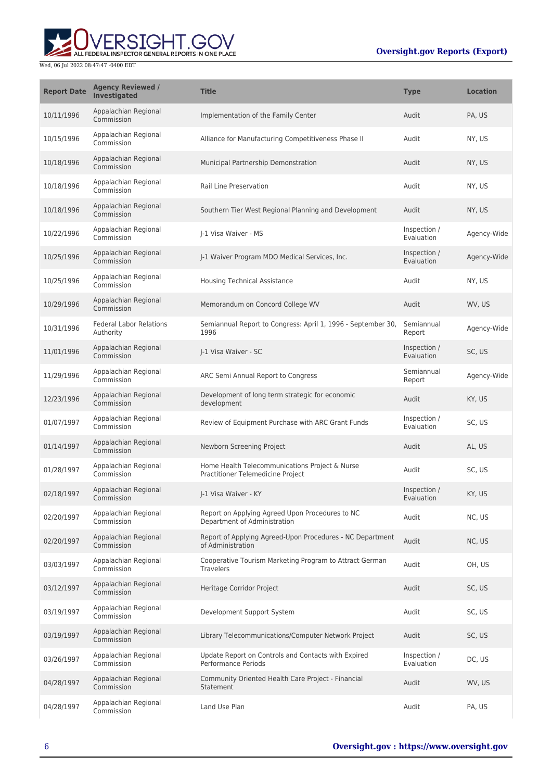

| <b>Report Date</b> | <b>Agency Reviewed /</b><br><b>Investigated</b> | <b>Title</b>                                                                        | <b>Type</b>                | <b>Location</b> |
|--------------------|-------------------------------------------------|-------------------------------------------------------------------------------------|----------------------------|-----------------|
| 10/11/1996         | Appalachian Regional<br>Commission              | Implementation of the Family Center                                                 | Audit                      | PA, US          |
| 10/15/1996         | Appalachian Regional<br>Commission              | Alliance for Manufacturing Competitiveness Phase II                                 | Audit                      | NY, US          |
| 10/18/1996         | Appalachian Regional<br>Commission              | Municipal Partnership Demonstration                                                 | Audit                      | NY, US          |
| 10/18/1996         | Appalachian Regional<br>Commission              | <b>Rail Line Preservation</b>                                                       | Audit                      | NY, US          |
| 10/18/1996         | Appalachian Regional<br>Commission              | Southern Tier West Regional Planning and Development                                | Audit                      | NY, US          |
| 10/22/1996         | Appalachian Regional<br>Commission              | J-1 Visa Waiver - MS                                                                | Inspection /<br>Evaluation | Agency-Wide     |
| 10/25/1996         | Appalachian Regional<br>Commission              | J-1 Waiver Program MDO Medical Services, Inc.                                       | Inspection /<br>Evaluation | Agency-Wide     |
| 10/25/1996         | Appalachian Regional<br>Commission              | <b>Housing Technical Assistance</b>                                                 | Audit                      | NY, US          |
| 10/29/1996         | Appalachian Regional<br>Commission              | Memorandum on Concord College WV                                                    | Audit                      | WV, US          |
| 10/31/1996         | <b>Federal Labor Relations</b><br>Authority     | Semiannual Report to Congress: April 1, 1996 - September 30,<br>1996                | Semiannual<br>Report       | Agency-Wide     |
| 11/01/1996         | Appalachian Regional<br>Commission              | J-1 Visa Waiver - SC                                                                | Inspection /<br>Evaluation | SC, US          |
| 11/29/1996         | Appalachian Regional<br>Commission              | ARC Semi Annual Report to Congress                                                  | Semiannual<br>Report       | Agency-Wide     |
| 12/23/1996         | Appalachian Regional<br>Commission              | Development of long term strategic for economic<br>development                      | Audit                      | KY, US          |
| 01/07/1997         | Appalachian Regional<br>Commission              | Review of Equipment Purchase with ARC Grant Funds                                   | Inspection /<br>Evaluation | SC, US          |
| 01/14/1997         | Appalachian Regional<br>Commission              | Newborn Screening Project                                                           | Audit                      | AL, US          |
| 01/28/1997         | Appalachian Regional<br>Commission              | Home Health Telecommunications Project & Nurse<br>Practitioner Telemedicine Project | Audit                      | SC, US          |
| 02/18/1997         | Appalachian Regional<br>Commission              | I-1 Visa Waiver - KY                                                                | Inspection /<br>Evaluation | KY, US          |
| 02/20/1997         | Appalachian Regional<br>Commission              | Report on Applying Agreed Upon Procedures to NC<br>Department of Administration     | Audit                      | NC, US          |
| 02/20/1997         | Appalachian Regional<br>Commission              | Report of Applying Agreed-Upon Procedures - NC Department<br>of Administration      | Audit                      | NC, US          |
| 03/03/1997         | Appalachian Regional<br>Commission              | Cooperative Tourism Marketing Program to Attract German<br><b>Travelers</b>         | Audit                      | OH, US          |
| 03/12/1997         | Appalachian Regional<br>Commission              | Heritage Corridor Project                                                           | Audit                      | SC, US          |
| 03/19/1997         | Appalachian Regional<br>Commission              | Development Support System                                                          | Audit                      | SC, US          |
| 03/19/1997         | Appalachian Regional<br>Commission              | Library Telecommunications/Computer Network Project                                 | Audit                      | SC, US          |
| 03/26/1997         | Appalachian Regional<br>Commission              | Update Report on Controls and Contacts with Expired<br>Performance Periods          | Inspection /<br>Evaluation | DC, US          |
| 04/28/1997         | Appalachian Regional<br>Commission              | Community Oriented Health Care Project - Financial<br>Statement                     | Audit                      | WV, US          |
| 04/28/1997         | Appalachian Regional<br>Commission              | Land Use Plan                                                                       | Audit                      | PA, US          |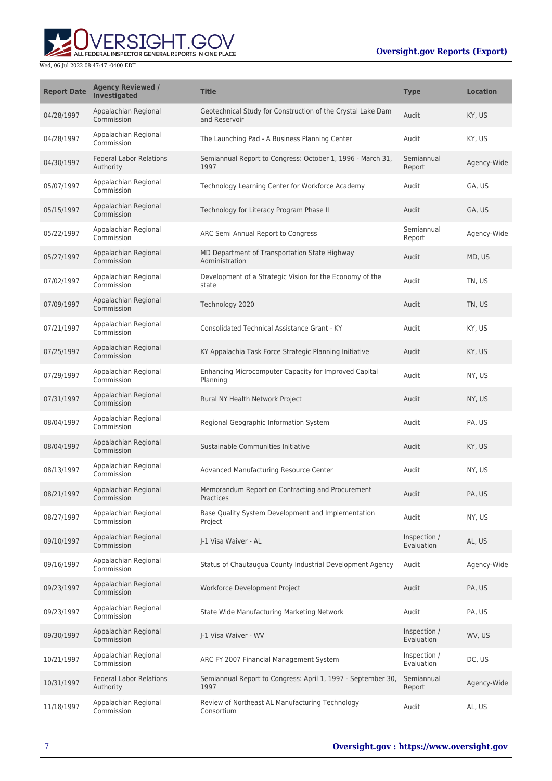# ALL FEDERAL INSPECTOR GENERAL REPORTS IN ONE PLACE Wed, 06 Jul 2022 08:47:47 -0400 EDT

| <b>Report Date</b> | <b>Agency Reviewed /</b><br><b>Investigated</b> | <b>Title</b>                                                                 | <b>Type</b>                | <b>Location</b> |
|--------------------|-------------------------------------------------|------------------------------------------------------------------------------|----------------------------|-----------------|
| 04/28/1997         | Appalachian Regional<br>Commission              | Geotechnical Study for Construction of the Crystal Lake Dam<br>and Reservoir | Audit                      | KY, US          |
| 04/28/1997         | Appalachian Regional<br>Commission              | The Launching Pad - A Business Planning Center                               | Audit                      | KY, US          |
| 04/30/1997         | <b>Federal Labor Relations</b><br>Authority     | Semiannual Report to Congress: October 1, 1996 - March 31,<br>1997           | Semiannual<br>Report       | Agency-Wide     |
| 05/07/1997         | Appalachian Regional<br>Commission              | Technology Learning Center for Workforce Academy                             | Audit                      | GA, US          |
| 05/15/1997         | Appalachian Regional<br>Commission              | Technology for Literacy Program Phase II                                     | Audit                      | GA, US          |
| 05/22/1997         | Appalachian Regional<br>Commission              | ARC Semi Annual Report to Congress                                           | Semiannual<br>Report       | Agency-Wide     |
| 05/27/1997         | Appalachian Regional<br>Commission              | MD Department of Transportation State Highway<br>Administration              | Audit                      | MD, US          |
| 07/02/1997         | Appalachian Regional<br>Commission              | Development of a Strategic Vision for the Economy of the<br>state            | Audit                      | TN, US          |
| 07/09/1997         | Appalachian Regional<br>Commission              | Technology 2020                                                              | Audit                      | TN, US          |
| 07/21/1997         | Appalachian Regional<br>Commission              | Consolidated Technical Assistance Grant - KY                                 | Audit                      | KY, US          |
| 07/25/1997         | Appalachian Regional<br>Commission              | KY Appalachia Task Force Strategic Planning Initiative                       | Audit                      | KY, US          |
| 07/29/1997         | Appalachian Regional<br>Commission              | Enhancing Microcomputer Capacity for Improved Capital<br>Planning            | Audit                      | NY, US          |
| 07/31/1997         | Appalachian Regional<br>Commission              | Rural NY Health Network Project                                              | Audit                      | NY, US          |
| 08/04/1997         | Appalachian Regional<br>Commission              | Regional Geographic Information System                                       | Audit                      | PA, US          |
| 08/04/1997         | Appalachian Regional<br>Commission              | Sustainable Communities Initiative                                           | Audit                      | KY, US          |
| 08/13/1997         | Appalachian Regional<br>Commission              | Advanced Manufacturing Resource Center                                       | Audit                      | NY, US          |
| 08/21/1997         | Appalachian Regional<br>Commission              | Memorandum Report on Contracting and Procurement<br>Practices                | Audit                      | PA, US          |
| 08/27/1997         | Appalachian Regional<br>Commission              | Base Quality System Development and Implementation<br>Project                | Audit                      | NY, US          |
| 09/10/1997         | Appalachian Regional<br>Commission              | I-1 Visa Waiver - AL                                                         | Inspection /<br>Evaluation | AL, US          |
| 09/16/1997         | Appalachian Regional<br>Commission              | Status of Chautaugua County Industrial Development Agency                    | Audit                      | Agency-Wide     |
| 09/23/1997         | Appalachian Regional<br>Commission              | Workforce Development Project                                                | Audit                      | PA, US          |
| 09/23/1997         | Appalachian Regional<br>Commission              | State Wide Manufacturing Marketing Network                                   | Audit                      | PA, US          |
| 09/30/1997         | Appalachian Regional<br>Commission              | J-1 Visa Waiver - WV                                                         | Inspection /<br>Evaluation | WV, US          |
| 10/21/1997         | Appalachian Regional<br>Commission              | ARC FY 2007 Financial Management System                                      | Inspection /<br>Evaluation | DC, US          |
| 10/31/1997         | <b>Federal Labor Relations</b><br>Authority     | Semiannual Report to Congress: April 1, 1997 - September 30,<br>1997         | Semiannual<br>Report       | Agency-Wide     |
| 11/18/1997         | Appalachian Regional<br>Commission              | Review of Northeast AL Manufacturing Technology<br>Consortium                | Audit                      | AL, US          |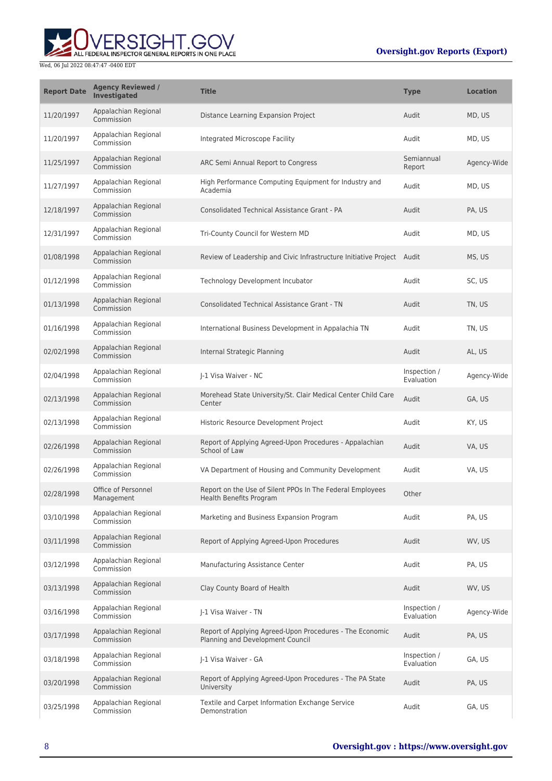

| <b>Report Date</b> | <b>Agency Reviewed /</b><br><b>Investigated</b> | <b>Title</b>                                                                                 | <b>Type</b>                | <b>Location</b> |
|--------------------|-------------------------------------------------|----------------------------------------------------------------------------------------------|----------------------------|-----------------|
| 11/20/1997         | Appalachian Regional<br>Commission              | Distance Learning Expansion Project                                                          | Audit                      | MD, US          |
| 11/20/1997         | Appalachian Regional<br>Commission              | Integrated Microscope Facility                                                               | Audit                      | MD, US          |
| 11/25/1997         | Appalachian Regional<br>Commission              | ARC Semi Annual Report to Congress                                                           | Semiannual<br>Report       | Agency-Wide     |
| 11/27/1997         | Appalachian Regional<br>Commission              | High Performance Computing Equipment for Industry and<br>Academia                            | Audit                      | MD, US          |
| 12/18/1997         | Appalachian Regional<br>Commission              | Consolidated Technical Assistance Grant - PA                                                 | Audit                      | PA, US          |
| 12/31/1997         | Appalachian Regional<br>Commission              | Tri-County Council for Western MD                                                            | Audit                      | MD, US          |
| 01/08/1998         | Appalachian Regional<br>Commission              | Review of Leadership and Civic Infrastructure Initiative Project Audit                       |                            | MS, US          |
| 01/12/1998         | Appalachian Regional<br>Commission              | Technology Development Incubator                                                             | Audit                      | SC, US          |
| 01/13/1998         | Appalachian Regional<br>Commission              | <b>Consolidated Technical Assistance Grant - TN</b>                                          | Audit                      | TN, US          |
| 01/16/1998         | Appalachian Regional<br>Commission              | International Business Development in Appalachia TN                                          | Audit                      | TN, US          |
| 02/02/1998         | Appalachian Regional<br>Commission              | Internal Strategic Planning                                                                  | Audit                      | AL, US          |
| 02/04/1998         | Appalachian Regional<br>Commission              | J-1 Visa Waiver - NC                                                                         | Inspection /<br>Evaluation | Agency-Wide     |
| 02/13/1998         | Appalachian Regional<br>Commission              | Morehead State University/St. Clair Medical Center Child Care<br>Center                      | Audit                      | GA, US          |
| 02/13/1998         | Appalachian Regional<br>Commission              | Historic Resource Development Project                                                        | Audit                      | KY, US          |
| 02/26/1998         | Appalachian Regional<br>Commission              | Report of Applying Agreed-Upon Procedures - Appalachian<br>School of Law                     | Audit                      | VA, US          |
| 02/26/1998         | Appalachian Regional<br>Commission              | VA Department of Housing and Community Development                                           | Audit                      | VA, US          |
| 02/28/1998         | Office of Personnel<br>Management               | Report on the Use of Silent PPOs In The Federal Employees<br>Health Benefits Program         | Other                      |                 |
| 03/10/1998         | Appalachian Regional<br>Commission              | Marketing and Business Expansion Program                                                     | Audit                      | PA. US          |
| 03/11/1998         | Appalachian Regional<br>Commission              | Report of Applying Agreed-Upon Procedures                                                    | Audit                      | WV, US          |
| 03/12/1998         | Appalachian Regional<br>Commission              | Manufacturing Assistance Center                                                              | Audit                      | PA, US          |
| 03/13/1998         | Appalachian Regional<br>Commission              | Clay County Board of Health                                                                  | Audit                      | WV, US          |
| 03/16/1998         | Appalachian Regional<br>Commission              | J-1 Visa Waiver - TN                                                                         | Inspection /<br>Evaluation | Agency-Wide     |
| 03/17/1998         | Appalachian Regional<br>Commission              | Report of Applying Agreed-Upon Procedures - The Economic<br>Planning and Development Council | Audit                      | PA, US          |
| 03/18/1998         | Appalachian Regional<br>Commission              | J-1 Visa Waiver - GA                                                                         | Inspection /<br>Evaluation | GA, US          |
| 03/20/1998         | Appalachian Regional<br>Commission              | Report of Applying Agreed-Upon Procedures - The PA State<br>University                       | Audit                      | PA, US          |
| 03/25/1998         | Appalachian Regional<br>Commission              | Textile and Carpet Information Exchange Service<br>Demonstration                             | Audit                      | GA, US          |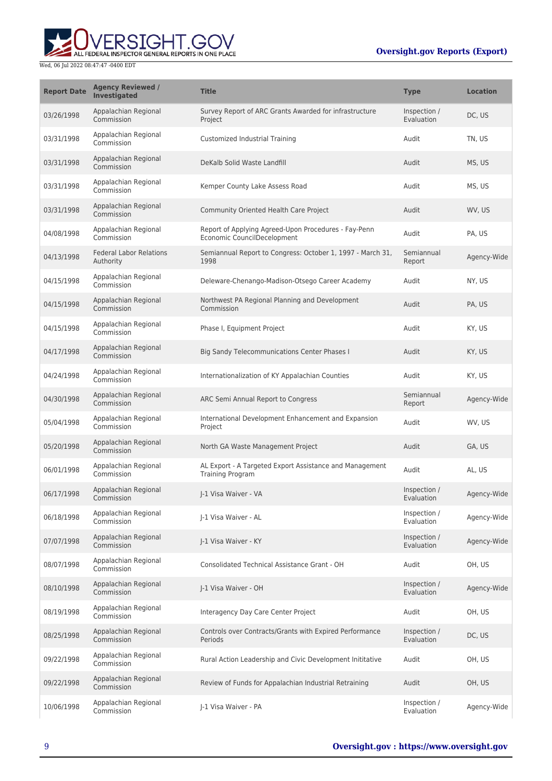

| <b>Report Date</b> | <b>Agency Reviewed /</b><br><b>Investigated</b> | <b>Title</b>                                                                        | <b>Type</b>                | <b>Location</b> |
|--------------------|-------------------------------------------------|-------------------------------------------------------------------------------------|----------------------------|-----------------|
| 03/26/1998         | Appalachian Regional<br>Commission              | Survey Report of ARC Grants Awarded for infrastructure<br>Project                   | Inspection /<br>Evaluation | DC, US          |
| 03/31/1998         | Appalachian Regional<br>Commission              | Customized Industrial Training                                                      | Audit                      | TN, US          |
| 03/31/1998         | Appalachian Regional<br>Commission              | DeKalb Solid Waste Landfill                                                         | Audit                      | MS, US          |
| 03/31/1998         | Appalachian Regional<br>Commission              | Kemper County Lake Assess Road                                                      | Audit                      | MS, US          |
| 03/31/1998         | Appalachian Regional<br>Commission              | Community Oriented Health Care Project                                              | Audit                      | WV, US          |
| 04/08/1998         | Appalachian Regional<br>Commission              | Report of Applying Agreed-Upon Procedures - Fay-Penn<br>Economic CouncilDecelopment | Audit                      | PA, US          |
| 04/13/1998         | <b>Federal Labor Relations</b><br>Authority     | Semiannual Report to Congress: October 1, 1997 - March 31,<br>1998                  | Semiannual<br>Report       | Agency-Wide     |
| 04/15/1998         | Appalachian Regional<br>Commission              | Deleware-Chenango-Madison-Otsego Career Academy                                     | Audit                      | NY, US          |
| 04/15/1998         | Appalachian Regional<br>Commission              | Northwest PA Regional Planning and Development<br>Commission                        | Audit                      | PA, US          |
| 04/15/1998         | Appalachian Regional<br>Commission              | Phase I, Equipment Project                                                          | Audit                      | KY, US          |
| 04/17/1998         | Appalachian Regional<br>Commission              | Big Sandy Telecommunications Center Phases I                                        | Audit                      | KY, US          |
| 04/24/1998         | Appalachian Regional<br>Commission              | Internationalization of KY Appalachian Counties                                     | Audit                      | KY, US          |
| 04/30/1998         | Appalachian Regional<br>Commission              | ARC Semi Annual Report to Congress                                                  | Semiannual<br>Report       | Agency-Wide     |
| 05/04/1998         | Appalachian Regional<br>Commission              | International Development Enhancement and Expansion<br>Project                      | Audit                      | WV, US          |
| 05/20/1998         | Appalachian Regional<br>Commission              | North GA Waste Management Project                                                   | Audit                      | GA, US          |
| 06/01/1998         | Appalachian Regional<br>Commission              | AL Export - A Targeted Export Assistance and Management<br><b>Training Program</b>  | Audit                      | AL, US          |
| 06/17/1998         | Appalachian Regional<br>Commission              | I-1 Visa Waiver - VA                                                                | Inspection /<br>Evaluation | Agency-Wide     |
| 06/18/1998         | Appalachian Regional<br>Commission              | J-1 Visa Waiver - AL                                                                | Inspection /<br>Evaluation | Agency-Wide     |
| 07/07/1998         | Appalachian Regional<br>Commission              | I-1 Visa Waiver - KY                                                                | Inspection /<br>Evaluation | Agency-Wide     |
| 08/07/1998         | Appalachian Regional<br>Commission              | Consolidated Technical Assistance Grant - OH                                        | Audit                      | OH, US          |
| 08/10/1998         | Appalachian Regional<br>Commission              | J-1 Visa Waiver - OH                                                                | Inspection /<br>Evaluation | Agency-Wide     |
| 08/19/1998         | Appalachian Regional<br>Commission              | Interagency Day Care Center Project                                                 | Audit                      | OH, US          |
| 08/25/1998         | Appalachian Regional<br>Commission              | Controls over Contracts/Grants with Expired Performance<br>Periods                  | Inspection /<br>Evaluation | DC, US          |
| 09/22/1998         | Appalachian Regional<br>Commission              | Rural Action Leadership and Civic Development Inititative                           | Audit                      | OH, US          |
| 09/22/1998         | Appalachian Regional<br>Commission              | Review of Funds for Appalachian Industrial Retraining                               | Audit                      | OH, US          |
| 10/06/1998         | Appalachian Regional<br>Commission              | J-1 Visa Waiver - PA                                                                | Inspection /<br>Evaluation | Agency-Wide     |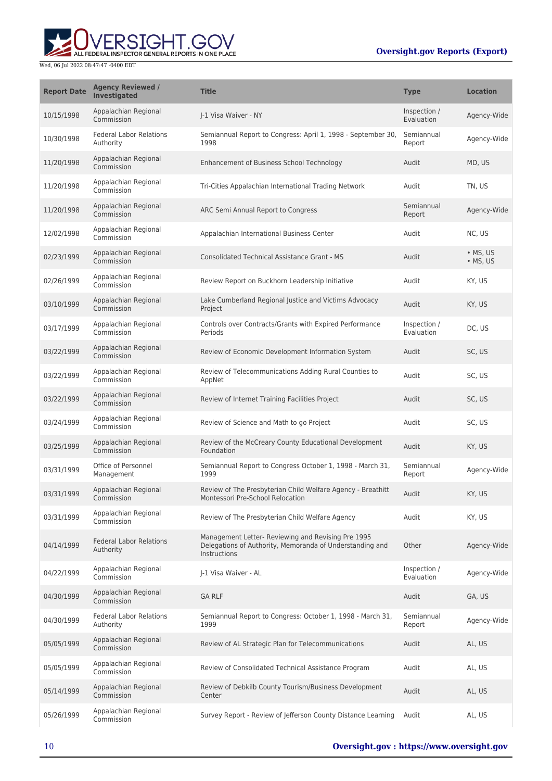# ERSIGHT.GOV ALL FEDERAL INSPECTOR GENERAL REPORTS IN ONE PLACE

| <b>Report Date</b> | <b>Agency Reviewed /</b><br><b>Investigated</b> | <b>Title</b>                                                                                                                   | <b>Type</b>                | <b>Location</b>                      |
|--------------------|-------------------------------------------------|--------------------------------------------------------------------------------------------------------------------------------|----------------------------|--------------------------------------|
| 10/15/1998         | Appalachian Regional<br>Commission              | I-1 Visa Waiver - NY                                                                                                           | Inspection /<br>Evaluation | Agency-Wide                          |
| 10/30/1998         | <b>Federal Labor Relations</b><br>Authority     | Semiannual Report to Congress: April 1, 1998 - September 30,<br>1998                                                           | Semiannual<br>Report       | Agency-Wide                          |
| 11/20/1998         | Appalachian Regional<br>Commission              | Enhancement of Business School Technology                                                                                      | Audit                      | MD, US                               |
| 11/20/1998         | Appalachian Regional<br>Commission              | Tri-Cities Appalachian International Trading Network                                                                           | Audit                      | TN, US                               |
| 11/20/1998         | Appalachian Regional<br>Commission              | ARC Semi Annual Report to Congress                                                                                             | Semiannual<br>Report       | Agency-Wide                          |
| 12/02/1998         | Appalachian Regional<br>Commission              | Appalachian International Business Center                                                                                      | Audit                      | NC, US                               |
| 02/23/1999         | Appalachian Regional<br>Commission              | <b>Consolidated Technical Assistance Grant - MS</b>                                                                            | Audit                      | $\bullet$ MS, US<br>$\bullet$ MS, US |
| 02/26/1999         | Appalachian Regional<br>Commission              | Review Report on Buckhorn Leadership Initiative                                                                                | Audit                      | KY, US                               |
| 03/10/1999         | Appalachian Regional<br>Commission              | Lake Cumberland Regional Justice and Victims Advocacy<br>Project                                                               | Audit                      | KY, US                               |
| 03/17/1999         | Appalachian Regional<br>Commission              | Controls over Contracts/Grants with Expired Performance<br>Periods                                                             | Inspection /<br>Evaluation | DC, US                               |
| 03/22/1999         | Appalachian Regional<br>Commission              | Review of Economic Development Information System                                                                              | Audit                      | SC, US                               |
| 03/22/1999         | Appalachian Regional<br>Commission              | Review of Telecommunications Adding Rural Counties to<br>AppNet                                                                | Audit                      | SC, US                               |
| 03/22/1999         | Appalachian Regional<br>Commission              | Review of Internet Training Facilities Project                                                                                 | Audit                      | SC, US                               |
| 03/24/1999         | Appalachian Regional<br>Commission              | Review of Science and Math to go Project                                                                                       | Audit                      | SC, US                               |
| 03/25/1999         | Appalachian Regional<br>Commission              | Review of the McCreary County Educational Development<br>Foundation                                                            | Audit                      | KY, US                               |
| 03/31/1999         | Office of Personnel<br>Management               | Semiannual Report to Congress October 1, 1998 - March 31,<br>1999                                                              | Semiannual<br>Report       | Agency-Wide                          |
| 03/31/1999         | Appalachian Regional<br>Commission              | Review of The Presbyterian Child Welfare Agency - Breathitt<br>Montessori Pre-School Relocation                                | Audit                      | KY, US                               |
| 03/31/1999         | Appalachian Regional<br>Commission              | Review of The Presbyterian Child Welfare Agency                                                                                | Audit                      | KY, US                               |
| 04/14/1999         | <b>Federal Labor Relations</b><br>Authority     | Management Letter- Reviewing and Revising Pre 1995<br>Delegations of Authority, Memoranda of Understanding and<br>Instructions | Other                      | Agency-Wide                          |
| 04/22/1999         | Appalachian Regional<br>Commission              | J-1 Visa Waiver - AL                                                                                                           | Inspection /<br>Evaluation | Agency-Wide                          |
| 04/30/1999         | Appalachian Regional<br>Commission              | <b>GA RLF</b>                                                                                                                  | Audit                      | GA, US                               |
| 04/30/1999         | <b>Federal Labor Relations</b><br>Authority     | Semiannual Report to Congress: October 1, 1998 - March 31,<br>1999                                                             | Semiannual<br>Report       | Agency-Wide                          |
| 05/05/1999         | Appalachian Regional<br>Commission              | Review of AL Strategic Plan for Telecommunications                                                                             | Audit                      | AL, US                               |
| 05/05/1999         | Appalachian Regional<br>Commission              | Review of Consolidated Technical Assistance Program                                                                            | Audit                      | AL, US                               |
| 05/14/1999         | Appalachian Regional<br>Commission              | Review of Debkilb County Tourism/Business Development<br>Center                                                                | Audit                      | AL, US                               |
| 05/26/1999         | Appalachian Regional<br>Commission              | Survey Report - Review of Jefferson County Distance Learning                                                                   | Audit                      | AL, US                               |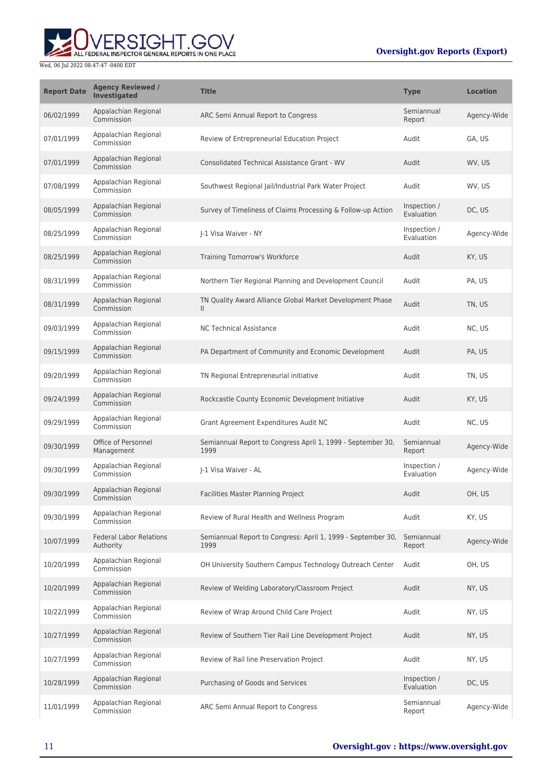# ALL FEDERAL INSPECTOR GENERAL REPORTS IN ONE PLACE

| <b>Report Date</b> | <b>Agency Reviewed /</b><br><b>Investigated</b> | <b>Title</b>                                                              | <b>Type</b>                | <b>Location</b> |
|--------------------|-------------------------------------------------|---------------------------------------------------------------------------|----------------------------|-----------------|
| 06/02/1999         | Appalachian Regional<br>Commission              | ARC Semi Annual Report to Congress                                        | Semiannual<br>Report       | Agency-Wide     |
| 07/01/1999         | Appalachian Regional<br>Commission              | Review of Entrepreneurial Education Project                               | Audit                      | GA, US          |
| 07/01/1999         | Appalachian Regional<br>Commission              | <b>Consolidated Technical Assistance Grant - WV</b>                       | Audit                      | WV, US          |
| 07/08/1999         | Appalachian Regional<br>Commission              | Southwest Regional Jail/Industrial Park Water Project                     | Audit                      | WV, US          |
| 08/05/1999         | Appalachian Regional<br>Commission              | Survey of Timeliness of Claims Processing & Follow-up Action              | Inspection /<br>Evaluation | DC, US          |
| 08/25/1999         | Appalachian Regional<br>Commission              | J-1 Visa Waiver - NY                                                      | Inspection /<br>Evaluation | Agency-Wide     |
| 08/25/1999         | Appalachian Regional<br>Commission              | Training Tomorrow's Workforce                                             | Audit                      | KY, US          |
| 08/31/1999         | Appalachian Regional<br>Commission              | Northern Tier Regional Planning and Development Council                   | Audit                      | PA, US          |
| 08/31/1999         | Appalachian Regional<br>Commission              | TN Quality Award Alliance Global Market Development Phase<br>$\mathbf{H}$ | Audit                      | TN, US          |
| 09/03/1999         | Appalachian Regional<br>Commission              | <b>NC Technical Assistance</b>                                            | Audit                      | NC, US          |
| 09/15/1999         | Appalachian Regional<br>Commission              | PA Department of Community and Economic Development                       | Audit                      | PA, US          |
| 09/20/1999         | Appalachian Regional<br>Commission              | TN Regional Entrepreneurial initiative                                    | Audit                      | TN, US          |
| 09/24/1999         | Appalachian Regional<br>Commission              | Rockcastle County Economic Development Initiative                         | Audit                      | KY, US          |
| 09/29/1999         | Appalachian Regional<br>Commission              | Grant Agreement Expenditures Audit NC                                     | Audit                      | NC, US          |
| 09/30/1999         | Office of Personnel<br>Management               | Semiannual Report to Congress April 1, 1999 - September 30,<br>1999       | Semiannual<br>Report       | Agency-Wide     |
| 09/30/1999         | Appalachian Regional<br>Commission              | J-1 Visa Waiver - AL                                                      | Inspection /<br>Evaluation | Agency-Wide     |
| 09/30/1999         | Appalachian Regional<br>Commission              | Facilities Master Planning Project                                        | Audit                      | OH, US          |
| 09/30/1999         | Appalachian Regional<br>Commission              | Review of Rural Health and Wellness Program                               | Audit                      | KY, US          |
| 10/07/1999         | <b>Federal Labor Relations</b><br>Authority     | Semiannual Report to Congress: April 1, 1999 - September 30,<br>1999      | Semiannual<br>Report       | Agency-Wide     |
| 10/20/1999         | Appalachian Regional<br>Commission              | OH University Southern Campus Technology Outreach Center                  | Audit                      | OH, US          |
| 10/20/1999         | Appalachian Regional<br>Commission              | Review of Welding Laboratory/Classroom Project                            | Audit                      | NY, US          |
| 10/22/1999         | Appalachian Regional<br>Commission              | Review of Wrap Around Child Care Project                                  | Audit                      | NY, US          |
| 10/27/1999         | Appalachian Regional<br>Commission              | Review of Southern Tier Rail Line Development Project                     | Audit                      | NY, US          |
| 10/27/1999         | Appalachian Regional<br>Commission              | Review of Rail line Preservation Project                                  | Audit                      | NY, US          |
| 10/28/1999         | Appalachian Regional<br>Commission              | Purchasing of Goods and Services                                          | Inspection /<br>Evaluation | DC, US          |
| 11/01/1999         | Appalachian Regional<br>Commission              | ARC Semi Annual Report to Congress                                        | Semiannual<br>Report       | Agency-Wide     |